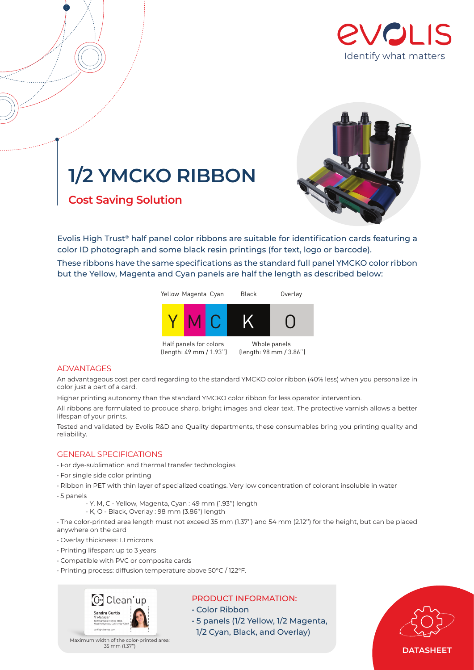

# **1/2 YMCKO RIBBON**

**Cost Saving Solution** 



Evolis High Trust® half panel color ribbons are suitable for identification cards featuring a color ID photograph and some black resin printings (for text, logo or barcode). These ribbons have the same specifications as the standard full panel YMCKO color ribbon but the Yellow, Magenta and Cyan panels are half the length as described below:



# ADVANTAGES

An advantageous cost per card regarding to the standard YMCKO color ribbon (40% less) when you personalize in color just a part of a card.

Higher printing autonomy than the standard YMCKO color ribbon for less operator intervention.

All ribbons are formulated to produce sharp, bright images and clear text. The protective varnish allows a better lifespan of your prints.

Tested and validated by Evolis R&D and Quality departments, these consumables bring you printing quality and reliability.

# GENERAL SPECIFICATIONS

- For dye-sublimation and thermal transfer technologies
- For single side color printing
- Ribbon in PET with thin layer of specialized coatings. Very low concentration of colorant insoluble in water
- 5 panels
	- Y, M, C Yellow, Magenta, Cyan : 49 mm (1.93'') length
	- K, O Black, Overlay : 98 mm (3.86'') length

• The color-printed area length must not exceed 35 mm (1.37'') and 54 mm (2.12'') for the height, but can be placed anywhere on the card

- Overlay thickness: 1.1 microns
- Printing lifespan: up to 3 years
- Compatible with PVC or composite cards
- Printing process: diffusion temperature above 50°C / 122°F.



# PRODUCT INFORMATION:

- Color Ribbon
- 5 panels (1/2 Yellow, 1/2 Magenta, 1/2 Cyan, Black, and Overlay)